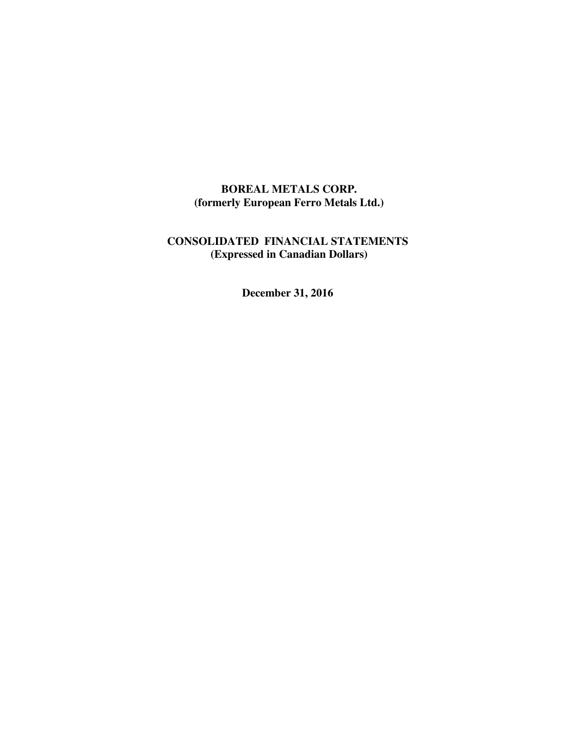# **BOREAL METALS CORP. (formerly European Ferro Metals Ltd.)**

# **CONSOLIDATED FINANCIAL STATEMENTS (Expressed in Canadian Dollars)**

**December 31, 2016**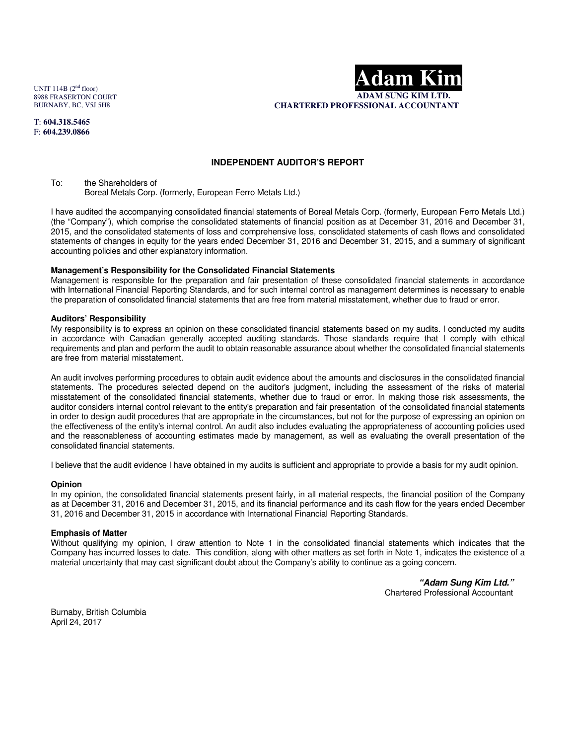UNIT 114B  $(2<sup>nd</sup>$  floor) 8988 FRASERTON COURT BURNABY, BC, V5J 5H8

T: **604.318.5465**  F: **604.239.0866** 



# **INDEPENDENT AUDITOR'S REPORT**

### To: the Shareholders of Boreal Metals Corp. (formerly, European Ferro Metals Ltd.)

I have audited the accompanying consolidated financial statements of Boreal Metals Corp. (formerly, European Ferro Metals Ltd.) (the "Company"), which comprise the consolidated statements of financial position as at December 31, 2016 and December 31, 2015, and the consolidated statements of loss and comprehensive loss, consolidated statements of cash flows and consolidated statements of changes in equity for the years ended December 31, 2016 and December 31, 2015, and a summary of significant accounting policies and other explanatory information.

#### **Management's Responsibility for the Consolidated Financial Statements**

Management is responsible for the preparation and fair presentation of these consolidated financial statements in accordance with International Financial Reporting Standards, and for such internal control as management determines is necessary to enable the preparation of consolidated financial statements that are free from material misstatement, whether due to fraud or error.

#### **Auditors' Responsibility**

My responsibility is to express an opinion on these consolidated financial statements based on my audits. I conducted my audits in accordance with Canadian generally accepted auditing standards. Those standards require that I comply with ethical requirements and plan and perform the audit to obtain reasonable assurance about whether the consolidated financial statements are free from material misstatement.

An audit involves performing procedures to obtain audit evidence about the amounts and disclosures in the consolidated financial statements. The procedures selected depend on the auditor's judgment, including the assessment of the risks of material misstatement of the consolidated financial statements, whether due to fraud or error. In making those risk assessments, the auditor considers internal control relevant to the entity's preparation and fair presentation of the consolidated financial statements in order to design audit procedures that are appropriate in the circumstances, but not for the purpose of expressing an opinion on the effectiveness of the entity's internal control. An audit also includes evaluating the appropriateness of accounting policies used and the reasonableness of accounting estimates made by management, as well as evaluating the overall presentation of the consolidated financial statements.

I believe that the audit evidence I have obtained in my audits is sufficient and appropriate to provide a basis for my audit opinion.

#### **Opinion**

In my opinion, the consolidated financial statements present fairly, in all material respects, the financial position of the Company as at December 31, 2016 and December 31, 2015, and its financial performance and its cash flow for the years ended December 31, 2016 and December 31, 2015 in accordance with International Financial Reporting Standards.

#### **Emphasis of Matter**

Without qualifying my opinion, I draw attention to Note 1 in the consolidated financial statements which indicates that the Company has incurred losses to date. This condition, along with other matters as set forth in Note 1, indicates the existence of a material uncertainty that may cast significant doubt about the Company's ability to continue as a going concern.

> **"Adam Sung Kim Ltd."** Chartered Professional Accountant

Burnaby, British Columbia April 24, 2017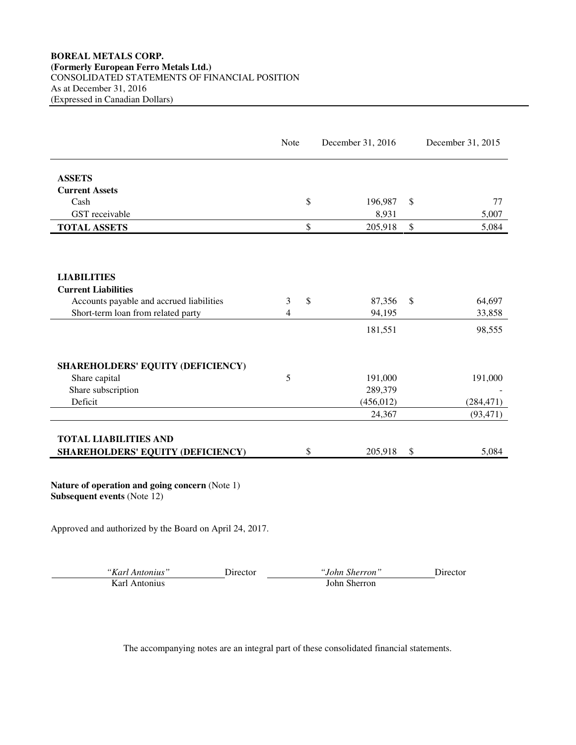# **BOREAL METALS CORP. (Formerly European Ferro Metals Ltd.)**  CONSOLIDATED STATEMENTS OF FINANCIAL POSITION As at December 31, 2016 (Expressed in Canadian Dollars)

| <b>ASSETS</b><br><b>Current Assets</b><br>Cash<br>GST receivable<br><b>TOTAL ASSETS</b><br><b>LIABILITIES</b><br><b>Current Liabilities</b> | \$<br>\$ | 196,987<br>8,931<br>205,918 | \$<br>\$ | 77<br>5,007<br>5,084 |
|---------------------------------------------------------------------------------------------------------------------------------------------|----------|-----------------------------|----------|----------------------|
|                                                                                                                                             |          |                             |          |                      |
|                                                                                                                                             |          |                             |          |                      |
|                                                                                                                                             |          |                             |          |                      |
|                                                                                                                                             |          |                             |          |                      |
|                                                                                                                                             |          |                             |          |                      |
|                                                                                                                                             |          |                             |          |                      |
|                                                                                                                                             |          |                             |          |                      |
| Accounts payable and accrued liabilities<br>3                                                                                               | \$       | 87,356                      | \$       | 64,697               |
| Short-term loan from related party<br>$\overline{4}$                                                                                        |          | 94,195                      |          | 33,858               |
|                                                                                                                                             |          |                             |          |                      |
|                                                                                                                                             |          | 181,551                     |          | 98,555               |
| SHAREHOLDERS' EQUITY (DEFICIENCY)                                                                                                           |          |                             |          |                      |
| Share capital<br>5                                                                                                                          |          | 191,000                     |          | 191,000              |
| Share subscription                                                                                                                          |          | 289,379                     |          |                      |
| Deficit                                                                                                                                     |          | (456, 012)                  |          | (284, 471)           |
|                                                                                                                                             |          | 24,367                      |          | (93, 471)            |
| <b>TOTAL LIABILITIES AND</b>                                                                                                                |          |                             |          |                      |
| SHAREHOLDERS' EQUITY (DEFICIENCY)                                                                                                           | \$       | 205,918                     | \$       | 5,084                |

| "Karl<br>Antonius' | Jirector | "John Sherron" | $h$ ractor |
|--------------------|----------|----------------|------------|
| . arl<br>Antonius  |          | John Sherron   |            |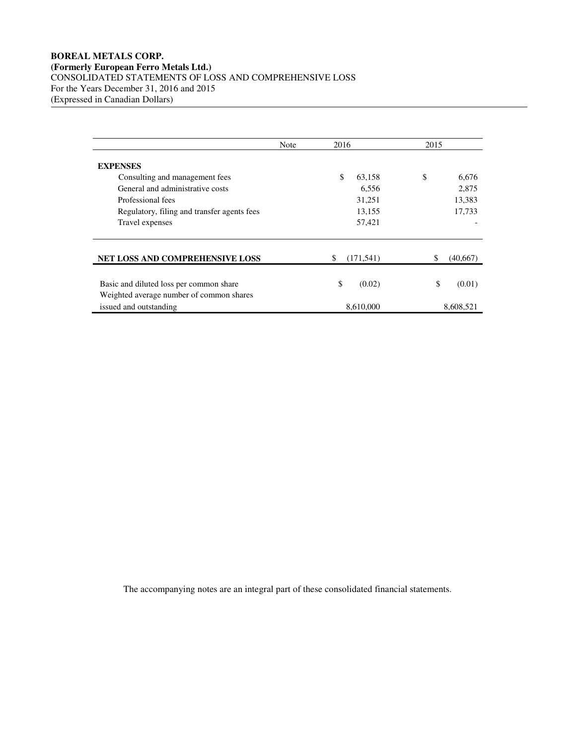# **BOREAL METALS CORP. (Formerly European Ferro Metals Ltd.)**  CONSOLIDATED STATEMENTS OF LOSS AND COMPREHENSIVE LOSS For the Years December 31, 2016 and 2015 (Expressed in Canadian Dollars)

|                                             | Note | 2016             | 2015           |
|---------------------------------------------|------|------------------|----------------|
| <b>EXPENSES</b>                             |      |                  |                |
| Consulting and management fees              |      | \$<br>63,158     | \$<br>6,676    |
| General and administrative costs            |      | 6,556            | 2,875          |
| Professional fees                           |      | 31,251           | 13,383         |
| Regulatory, filing and transfer agents fees |      | 13,155           | 17,733         |
| Travel expenses                             |      | 57,421           |                |
| <b>NET LOSS AND COMPREHENSIVE LOSS</b>      |      | \$<br>(171, 541) | \$<br>(40,667) |
|                                             |      |                  |                |
| Basic and diluted loss per common share     |      | \$<br>(0.02)     | \$<br>(0.01)   |
| Weighted average number of common shares    |      |                  |                |
| issued and outstanding                      |      | 8,610,000        | 8.608.521      |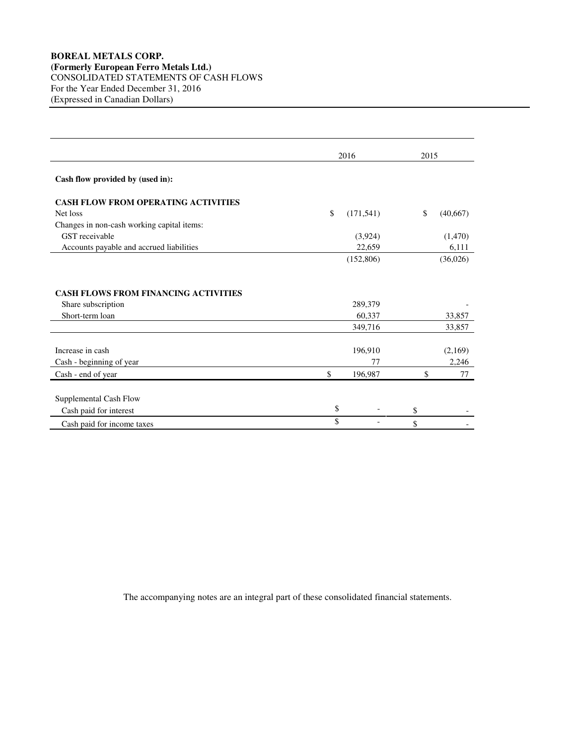# **BOREAL METALS CORP. (Formerly European Ferro Metals Ltd.)**  CONSOLIDATED STATEMENTS OF CASH FLOWS For the Year Ended December 31, 2016 (Expressed in Canadian Dollars)

|                                             | 2016             | 2015 |          |
|---------------------------------------------|------------------|------|----------|
| Cash flow provided by (used in):            |                  |      |          |
| <b>CASH FLOW FROM OPERATING ACTIVITIES</b>  |                  |      |          |
| Net loss                                    | \$<br>(171, 541) | \$   | (40,667) |
| Changes in non-cash working capital items:  |                  |      |          |
| GST receivable                              | (3,924)          |      | (1,470)  |
| Accounts payable and accrued liabilities    | 22,659           |      | 6,111    |
|                                             | (152, 806)       |      | (36,026) |
|                                             |                  |      |          |
| <b>CASH FLOWS FROM FINANCING ACTIVITIES</b> |                  |      |          |
| Share subscription                          | 289,379          |      |          |
| Short-term loan                             | 60,337           |      | 33,857   |
|                                             | 349,716          |      | 33,857   |
| Increase in cash                            | 196,910          |      | (2,169)  |
| Cash - beginning of year                    | 77               |      | 2,246    |
|                                             |                  |      |          |
| Cash - end of year                          | \$<br>196,987    | \$   | 77       |
| Supplemental Cash Flow                      |                  |      |          |
| Cash paid for interest                      | \$               | \$   |          |
| Cash paid for income taxes                  | \$               | \$   |          |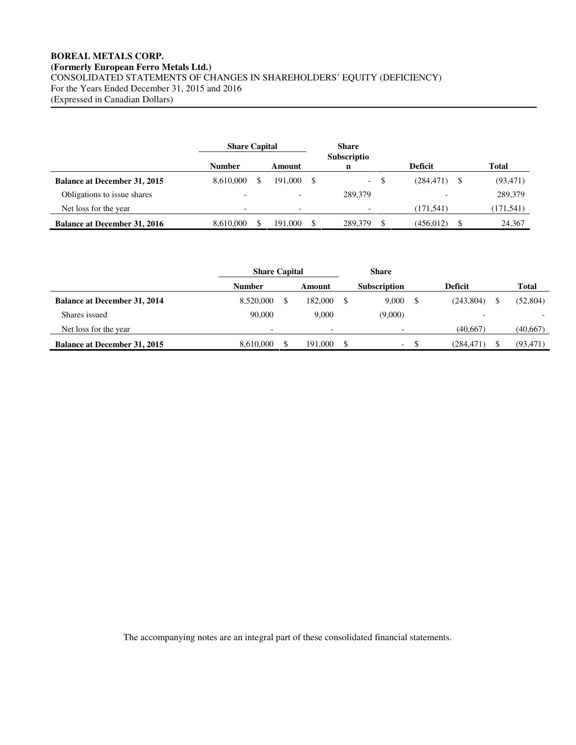# **BOREAL METALS CORP. (Formerly European Ferro Metals Ltd.)**  CONSOLIDATED STATEMENTS OF CHANGES IN SHAREHOLDERS' EQUITY (DEFICIENCY) For the Years Ended December 31, 2015 and 2016 (Expressed in Canadian Dollars)

|                                     | <b>Share Capital</b>     |   |                          | <b>Share</b><br><b>Subscriptio</b><br>n |      |            |            |
|-------------------------------------|--------------------------|---|--------------------------|-----------------------------------------|------|------------|------------|
|                                     | <b>Number</b>            |   | Amount                   |                                         |      |            |            |
| <b>Balance at December 31, 2015</b> | 8.610.000                | S | 191.000                  | $\overline{\phantom{a}}$                | - \$ | (284.471)  | (93, 471)  |
| Obligations to issue shares         |                          |   |                          | 289,379                                 |      |            | 289,379    |
| Net loss for the year               | $\overline{\phantom{0}}$ |   | $\overline{\phantom{a}}$ | $\overline{\phantom{0}}$                |      | (171, 541) | (171, 541) |
| <b>Balance at December 31, 2016</b> | 8.610.000                |   | 191.000                  | 289,379                                 | -S   | (456.012)  | 24.367     |

|                                     | <b>Share Capital</b>     |  |                          | <b>Share</b> |                          |  |                |              |
|-------------------------------------|--------------------------|--|--------------------------|--------------|--------------------------|--|----------------|--------------|
|                                     | <b>Number</b>            |  | Amount                   |              | <b>Subscription</b>      |  | <b>Deficit</b> | <b>Total</b> |
| <b>Balance at December 31, 2014</b> | 8,520,000                |  | 182,000                  |              | 9.000                    |  | (243, 804)     | (52,804)     |
| Shares issued                       | 90,000                   |  | 9.000                    |              | (9,000)                  |  |                |              |
| Net loss for the year               | $\overline{\phantom{0}}$ |  | $\overline{\phantom{a}}$ |              |                          |  | (40,667)       | (40,667)     |
| <b>Balance at December 31, 2015</b> | 8.610.000                |  | 191,000                  | S            | $\overline{\phantom{0}}$ |  | (284,471)      | (93, 471)    |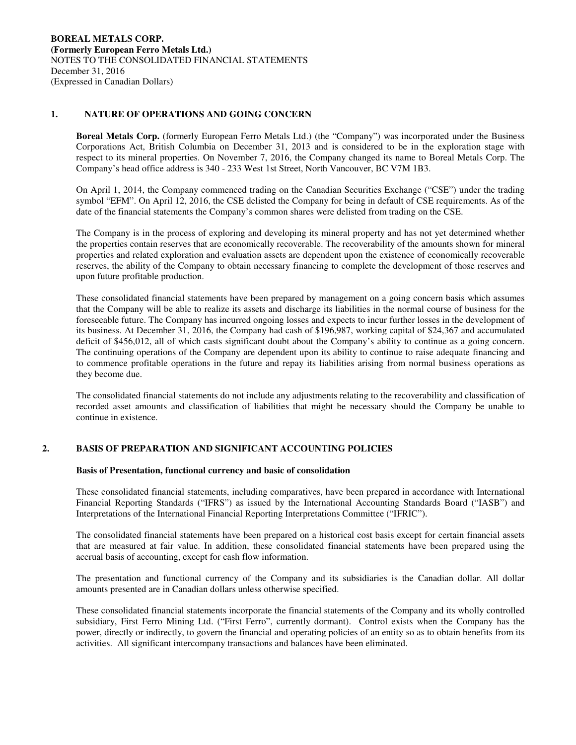# **1. NATURE OF OPERATIONS AND GOING CONCERN**

**Boreal Metals Corp.** (formerly European Ferro Metals Ltd.) (the "Company") was incorporated under the Business Corporations Act, British Columbia on December 31, 2013 and is considered to be in the exploration stage with respect to its mineral properties. On November 7, 2016, the Company changed its name to Boreal Metals Corp. The Company's head office address is 340 - 233 West 1st Street, North Vancouver, BC V7M 1B3.

On April 1, 2014, the Company commenced trading on the Canadian Securities Exchange ("CSE") under the trading symbol "EFM". On April 12, 2016, the CSE delisted the Company for being in default of CSE requirements. As of the date of the financial statements the Company's common shares were delisted from trading on the CSE.

The Company is in the process of exploring and developing its mineral property and has not yet determined whether the properties contain reserves that are economically recoverable. The recoverability of the amounts shown for mineral properties and related exploration and evaluation assets are dependent upon the existence of economically recoverable reserves, the ability of the Company to obtain necessary financing to complete the development of those reserves and upon future profitable production.

These consolidated financial statements have been prepared by management on a going concern basis which assumes that the Company will be able to realize its assets and discharge its liabilities in the normal course of business for the foreseeable future. The Company has incurred ongoing losses and expects to incur further losses in the development of its business. At December 31, 2016, the Company had cash of \$196,987, working capital of \$24,367 and accumulated deficit of \$456,012, all of which casts significant doubt about the Company's ability to continue as a going concern. The continuing operations of the Company are dependent upon its ability to continue to raise adequate financing and to commence profitable operations in the future and repay its liabilities arising from normal business operations as they become due.

The consolidated financial statements do not include any adjustments relating to the recoverability and classification of recorded asset amounts and classification of liabilities that might be necessary should the Company be unable to continue in existence.

# **2. BASIS OF PREPARATION AND SIGNIFICANT ACCOUNTING POLICIES**

### **Basis of Presentation, functional currency and basic of consolidation**

These consolidated financial statements, including comparatives, have been prepared in accordance with International Financial Reporting Standards ("IFRS") as issued by the International Accounting Standards Board ("IASB") and Interpretations of the International Financial Reporting Interpretations Committee ("IFRIC").

The consolidated financial statements have been prepared on a historical cost basis except for certain financial assets that are measured at fair value. In addition, these consolidated financial statements have been prepared using the accrual basis of accounting, except for cash flow information.

The presentation and functional currency of the Company and its subsidiaries is the Canadian dollar. All dollar amounts presented are in Canadian dollars unless otherwise specified.

These consolidated financial statements incorporate the financial statements of the Company and its wholly controlled subsidiary, First Ferro Mining Ltd. ("First Ferro", currently dormant). Control exists when the Company has the power, directly or indirectly, to govern the financial and operating policies of an entity so as to obtain benefits from its activities. All significant intercompany transactions and balances have been eliminated.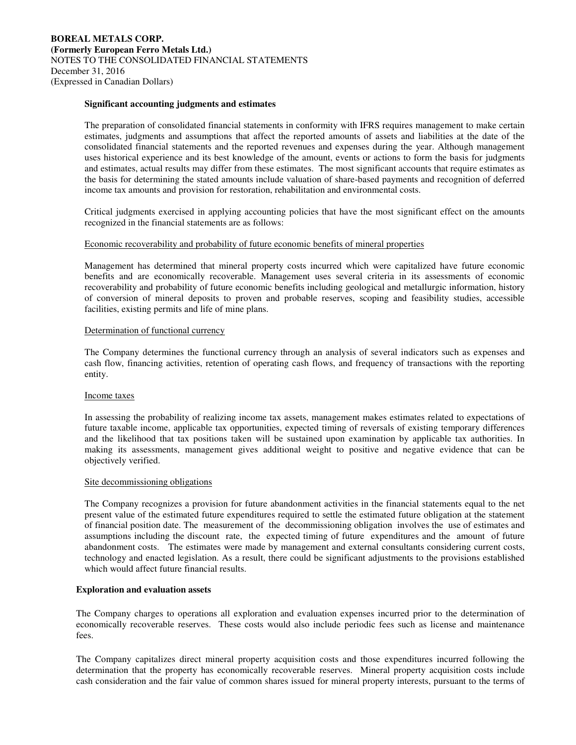### **Significant accounting judgments and estimates**

 The preparation of consolidated financial statements in conformity with IFRS requires management to make certain estimates, judgments and assumptions that affect the reported amounts of assets and liabilities at the date of the consolidated financial statements and the reported revenues and expenses during the year. Although management uses historical experience and its best knowledge of the amount, events or actions to form the basis for judgments and estimates, actual results may differ from these estimates. The most significant accounts that require estimates as the basis for determining the stated amounts include valuation of share-based payments and recognition of deferred income tax amounts and provision for restoration, rehabilitation and environmental costs.

Critical judgments exercised in applying accounting policies that have the most significant effect on the amounts recognized in the financial statements are as follows:

### Economic recoverability and probability of future economic benefits of mineral properties

Management has determined that mineral property costs incurred which were capitalized have future economic benefits and are economically recoverable. Management uses several criteria in its assessments of economic recoverability and probability of future economic benefits including geological and metallurgic information, history of conversion of mineral deposits to proven and probable reserves, scoping and feasibility studies, accessible facilities, existing permits and life of mine plans.

### Determination of functional currency

The Company determines the functional currency through an analysis of several indicators such as expenses and cash flow, financing activities, retention of operating cash flows, and frequency of transactions with the reporting entity.

### Income taxes

In assessing the probability of realizing income tax assets, management makes estimates related to expectations of future taxable income, applicable tax opportunities, expected timing of reversals of existing temporary differences and the likelihood that tax positions taken will be sustained upon examination by applicable tax authorities. In making its assessments, management gives additional weight to positive and negative evidence that can be objectively verified.

# Site decommissioning obligations

The Company recognizes a provision for future abandonment activities in the financial statements equal to the net present value of the estimated future expenditures required to settle the estimated future obligation at the statement of financial position date. The measurement of the decommissioning obligation involves the use of estimates and assumptions including the discount rate, the expected timing of future expenditures and the amount of future abandonment costs. The estimates were made by management and external consultants considering current costs, technology and enacted legislation. As a result, there could be significant adjustments to the provisions established which would affect future financial results.

# **Exploration and evaluation assets**

The Company charges to operations all exploration and evaluation expenses incurred prior to the determination of economically recoverable reserves. These costs would also include periodic fees such as license and maintenance fees.

The Company capitalizes direct mineral property acquisition costs and those expenditures incurred following the determination that the property has economically recoverable reserves. Mineral property acquisition costs include cash consideration and the fair value of common shares issued for mineral property interests, pursuant to the terms of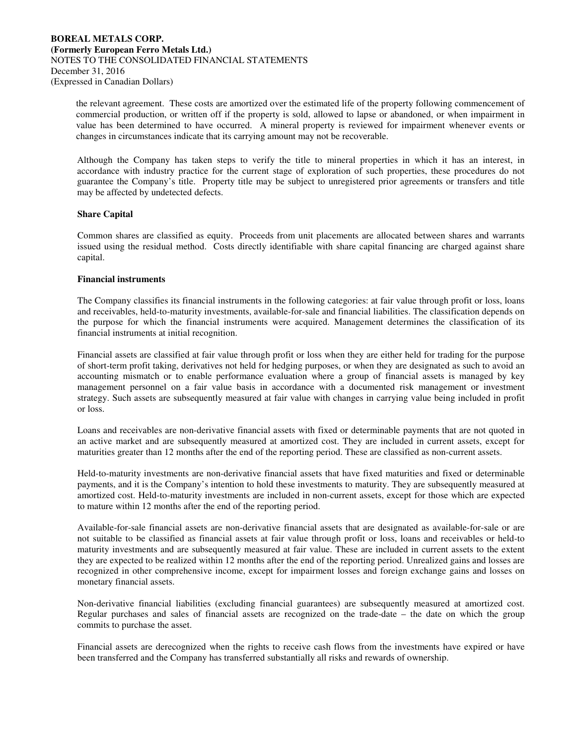the relevant agreement. These costs are amortized over the estimated life of the property following commencement of commercial production, or written off if the property is sold, allowed to lapse or abandoned, or when impairment in value has been determined to have occurred. A mineral property is reviewed for impairment whenever events or changes in circumstances indicate that its carrying amount may not be recoverable.

Although the Company has taken steps to verify the title to mineral properties in which it has an interest, in accordance with industry practice for the current stage of exploration of such properties, these procedures do not guarantee the Company's title. Property title may be subject to unregistered prior agreements or transfers and title may be affected by undetected defects.

# **Share Capital**

Common shares are classified as equity. Proceeds from unit placements are allocated between shares and warrants issued using the residual method. Costs directly identifiable with share capital financing are charged against share capital.

# **Financial instruments**

The Company classifies its financial instruments in the following categories: at fair value through profit or loss, loans and receivables, held-to-maturity investments, available-for-sale and financial liabilities. The classification depends on the purpose for which the financial instruments were acquired. Management determines the classification of its financial instruments at initial recognition.

Financial assets are classified at fair value through profit or loss when they are either held for trading for the purpose of short-term profit taking, derivatives not held for hedging purposes, or when they are designated as such to avoid an accounting mismatch or to enable performance evaluation where a group of financial assets is managed by key management personnel on a fair value basis in accordance with a documented risk management or investment strategy. Such assets are subsequently measured at fair value with changes in carrying value being included in profit or loss.

Loans and receivables are non-derivative financial assets with fixed or determinable payments that are not quoted in an active market and are subsequently measured at amortized cost. They are included in current assets, except for maturities greater than 12 months after the end of the reporting period. These are classified as non-current assets.

Held-to-maturity investments are non-derivative financial assets that have fixed maturities and fixed or determinable payments, and it is the Company's intention to hold these investments to maturity. They are subsequently measured at amortized cost. Held-to-maturity investments are included in non-current assets, except for those which are expected to mature within 12 months after the end of the reporting period.

Available-for-sale financial assets are non-derivative financial assets that are designated as available-for-sale or are not suitable to be classified as financial assets at fair value through profit or loss, loans and receivables or held-to maturity investments and are subsequently measured at fair value. These are included in current assets to the extent they are expected to be realized within 12 months after the end of the reporting period. Unrealized gains and losses are recognized in other comprehensive income, except for impairment losses and foreign exchange gains and losses on monetary financial assets.

Non-derivative financial liabilities (excluding financial guarantees) are subsequently measured at amortized cost. Regular purchases and sales of financial assets are recognized on the trade-date – the date on which the group commits to purchase the asset.

Financial assets are derecognized when the rights to receive cash flows from the investments have expired or have been transferred and the Company has transferred substantially all risks and rewards of ownership.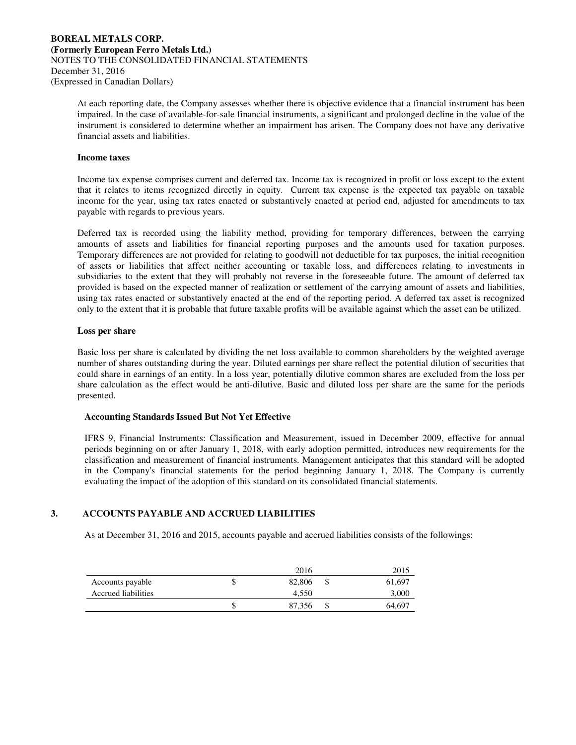At each reporting date, the Company assesses whether there is objective evidence that a financial instrument has been impaired. In the case of available-for-sale financial instruments, a significant and prolonged decline in the value of the instrument is considered to determine whether an impairment has arisen. The Company does not have any derivative financial assets and liabilities.

### **Income taxes**

Income tax expense comprises current and deferred tax. Income tax is recognized in profit or loss except to the extent that it relates to items recognized directly in equity. Current tax expense is the expected tax payable on taxable income for the year, using tax rates enacted or substantively enacted at period end, adjusted for amendments to tax payable with regards to previous years.

Deferred tax is recorded using the liability method, providing for temporary differences, between the carrying amounts of assets and liabilities for financial reporting purposes and the amounts used for taxation purposes. Temporary differences are not provided for relating to goodwill not deductible for tax purposes, the initial recognition of assets or liabilities that affect neither accounting or taxable loss, and differences relating to investments in subsidiaries to the extent that they will probably not reverse in the foreseeable future. The amount of deferred tax provided is based on the expected manner of realization or settlement of the carrying amount of assets and liabilities, using tax rates enacted or substantively enacted at the end of the reporting period. A deferred tax asset is recognized only to the extent that it is probable that future taxable profits will be available against which the asset can be utilized.

# **Loss per share**

Basic loss per share is calculated by dividing the net loss available to common shareholders by the weighted average number of shares outstanding during the year. Diluted earnings per share reflect the potential dilution of securities that could share in earnings of an entity. In a loss year, potentially dilutive common shares are excluded from the loss per share calculation as the effect would be anti-dilutive. Basic and diluted loss per share are the same for the periods presented.

# **Accounting Standards Issued But Not Yet Effective**

 IFRS 9, Financial Instruments: Classification and Measurement, issued in December 2009, effective for annual periods beginning on or after January 1, 2018, with early adoption permitted, introduces new requirements for the classification and measurement of financial instruments. Management anticipates that this standard will be adopted in the Company's financial statements for the period beginning January 1, 2018. The Company is currently evaluating the impact of the adoption of this standard on its consolidated financial statements.

# **3. ACCOUNTS PAYABLE AND ACCRUED LIABILITIES**

As at December 31, 2016 and 2015, accounts payable and accrued liabilities consists of the followings:

|                     | 2016   | 2015   |
|---------------------|--------|--------|
| Accounts payable    | 82,806 | 61,697 |
| Accrued liabilities | 4.550  | 3,000  |
|                     | 87.356 | 64.69  |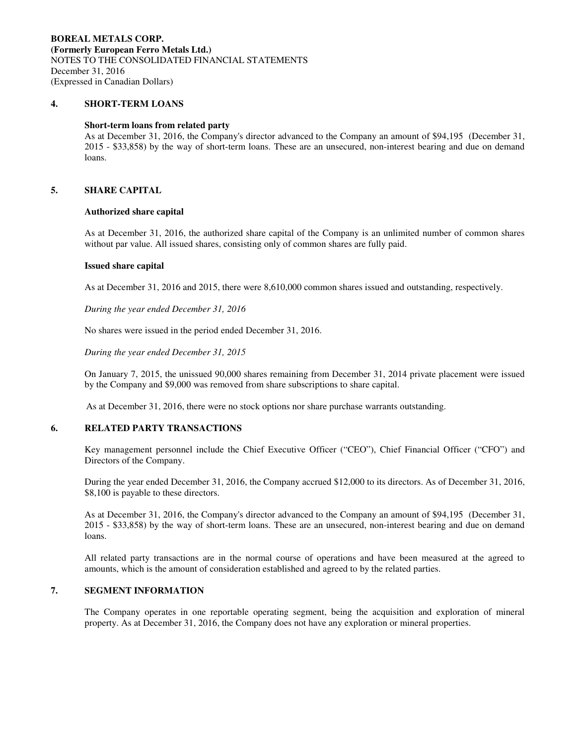### **4. SHORT-TERM LOANS**

### **Short-term loans from related party**

As at December 31, 2016, the Company's director advanced to the Company an amount of \$94,195 (December 31, 2015 - \$33,858) by the way of short-term loans. These are an unsecured, non-interest bearing and due on demand loans.

#### **5. SHARE CAPITAL**

### **Authorized share capital**

As at December 31, 2016, the authorized share capital of the Company is an unlimited number of common shares without par value. All issued shares, consisting only of common shares are fully paid.

#### **Issued share capital**

As at December 31, 2016 and 2015, there were 8,610,000 common shares issued and outstanding, respectively.

*During the year ended December 31, 2016* 

No shares were issued in the period ended December 31, 2016.

*During the year ended December 31, 2015*

On January 7, 2015, the unissued 90,000 shares remaining from December 31, 2014 private placement were issued by the Company and \$9,000 was removed from share subscriptions to share capital.

As at December 31, 2016, there were no stock options nor share purchase warrants outstanding.

### **6. RELATED PARTY TRANSACTIONS**

 Key management personnel include the Chief Executive Officer ("CEO"), Chief Financial Officer ("CFO") and Directors of the Company.

During the year ended December 31, 2016, the Company accrued \$12,000 to its directors. As of December 31, 2016, \$8,100 is payable to these directors.

As at December 31, 2016, the Company's director advanced to the Company an amount of \$94,195 (December 31, 2015 - \$33,858) by the way of short-term loans. These are an unsecured, non-interest bearing and due on demand loans.

All related party transactions are in the normal course of operations and have been measured at the agreed to amounts, which is the amount of consideration established and agreed to by the related parties.

# **7. SEGMENT INFORMATION**

The Company operates in one reportable operating segment, being the acquisition and exploration of mineral property. As at December 31, 2016, the Company does not have any exploration or mineral properties.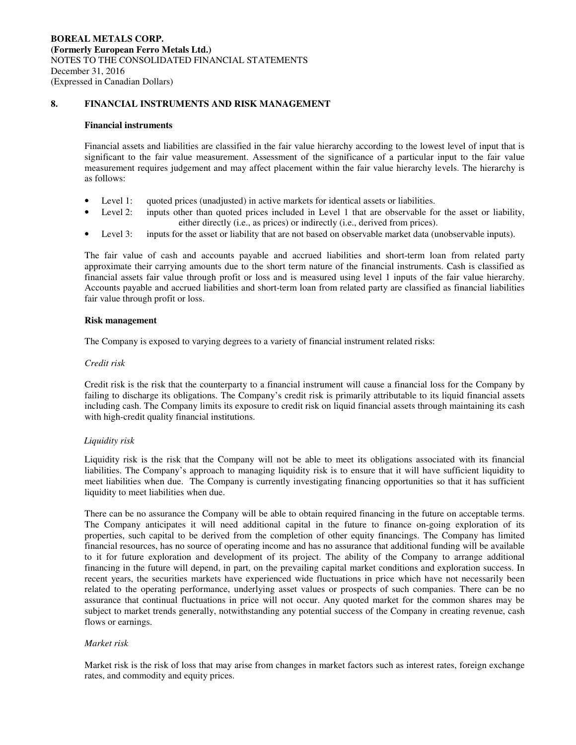# **8. FINANCIAL INSTRUMENTS AND RISK MANAGEMENT**

#### **Financial instruments**

Financial assets and liabilities are classified in the fair value hierarchy according to the lowest level of input that is significant to the fair value measurement. Assessment of the significance of a particular input to the fair value measurement requires judgement and may affect placement within the fair value hierarchy levels. The hierarchy is as follows:

- Level 1: quoted prices (unadjusted) in active markets for identical assets or liabilities.
- Level 2: inputs other than quoted prices included in Level 1 that are observable for the asset or liability, either directly (i.e., as prices) or indirectly (i.e., derived from prices).
- Level 3: inputs for the asset or liability that are not based on observable market data (unobservable inputs).

The fair value of cash and accounts payable and accrued liabilities and short-term loan from related party approximate their carrying amounts due to the short term nature of the financial instruments. Cash is classified as financial assets fair value through profit or loss and is measured using level 1 inputs of the fair value hierarchy. Accounts payable and accrued liabilities and short-term loan from related party are classified as financial liabilities fair value through profit or loss.

#### **Risk management**

The Company is exposed to varying degrees to a variety of financial instrument related risks:

### *Credit risk*

Credit risk is the risk that the counterparty to a financial instrument will cause a financial loss for the Company by failing to discharge its obligations. The Company's credit risk is primarily attributable to its liquid financial assets including cash. The Company limits its exposure to credit risk on liquid financial assets through maintaining its cash with high-credit quality financial institutions.

### *Liquidity risk*

Liquidity risk is the risk that the Company will not be able to meet its obligations associated with its financial liabilities. The Company's approach to managing liquidity risk is to ensure that it will have sufficient liquidity to meet liabilities when due. The Company is currently investigating financing opportunities so that it has sufficient liquidity to meet liabilities when due.

There can be no assurance the Company will be able to obtain required financing in the future on acceptable terms. The Company anticipates it will need additional capital in the future to finance on-going exploration of its properties, such capital to be derived from the completion of other equity financings. The Company has limited financial resources, has no source of operating income and has no assurance that additional funding will be available to it for future exploration and development of its project. The ability of the Company to arrange additional financing in the future will depend, in part, on the prevailing capital market conditions and exploration success. In recent years, the securities markets have experienced wide fluctuations in price which have not necessarily been related to the operating performance, underlying asset values or prospects of such companies. There can be no assurance that continual fluctuations in price will not occur. Any quoted market for the common shares may be subject to market trends generally, notwithstanding any potential success of the Company in creating revenue, cash flows or earnings.

### *Market risk*

Market risk is the risk of loss that may arise from changes in market factors such as interest rates, foreign exchange rates, and commodity and equity prices.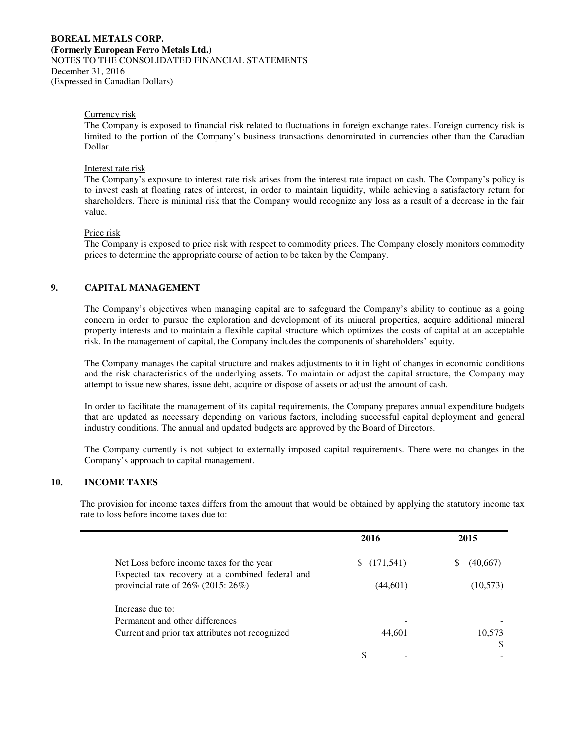# Currency risk

The Company is exposed to financial risk related to fluctuations in foreign exchange rates. Foreign currency risk is limited to the portion of the Company's business transactions denominated in currencies other than the Canadian Dollar.

### Interest rate risk

The Company's exposure to interest rate risk arises from the interest rate impact on cash. The Company's policy is to invest cash at floating rates of interest, in order to maintain liquidity, while achieving a satisfactory return for shareholders. There is minimal risk that the Company would recognize any loss as a result of a decrease in the fair value.

### Price risk

The Company is exposed to price risk with respect to commodity prices. The Company closely monitors commodity prices to determine the appropriate course of action to be taken by the Company.

# **9. CAPITAL MANAGEMENT**

The Company's objectives when managing capital are to safeguard the Company's ability to continue as a going concern in order to pursue the exploration and development of its mineral properties, acquire additional mineral property interests and to maintain a flexible capital structure which optimizes the costs of capital at an acceptable risk. In the management of capital, the Company includes the components of shareholders' equity.

The Company manages the capital structure and makes adjustments to it in light of changes in economic conditions and the risk characteristics of the underlying assets. To maintain or adjust the capital structure, the Company may attempt to issue new shares, issue debt, acquire or dispose of assets or adjust the amount of cash.

In order to facilitate the management of its capital requirements, the Company prepares annual expenditure budgets that are updated as necessary depending on various factors, including successful capital deployment and general industry conditions. The annual and updated budgets are approved by the Board of Directors.

The Company currently is not subject to externally imposed capital requirements. There were no changes in the Company's approach to capital management.

# **10. INCOME TAXES**

 $\blacksquare$ 

The provision for income taxes differs from the amount that would be obtained by applying the statutory income tax rate to loss before income taxes due to:

|                                                                                          | 2016            | 2015     |
|------------------------------------------------------------------------------------------|-----------------|----------|
| Net Loss before income taxes for the year                                                | (171, 541)<br>S | (40,667) |
| Expected tax recovery at a combined federal and<br>provincial rate of $26\%$ (2015: 26%) | (44,601)        | (10,573) |
| Increase due to:                                                                         |                 |          |
| Permanent and other differences                                                          |                 |          |
| Current and prior tax attributes not recognized                                          | 44,601          | 10,573   |
|                                                                                          |                 |          |
|                                                                                          |                 |          |